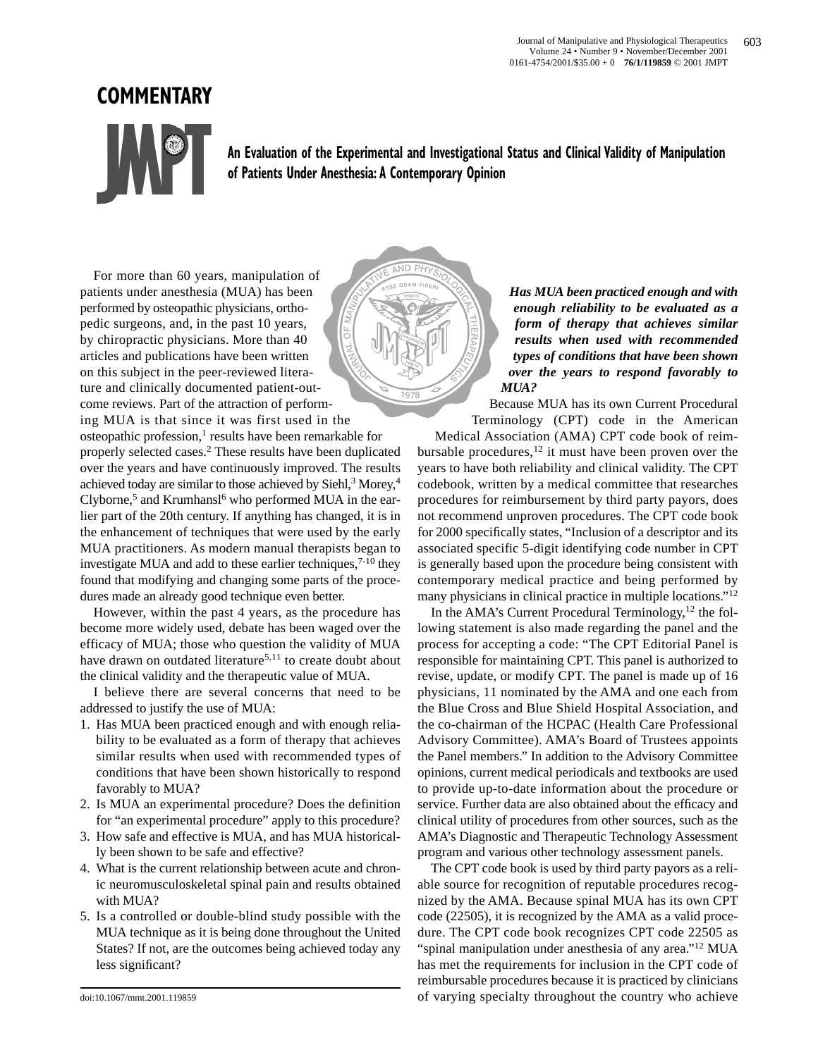# **COMMENTARY**

**An Evaluation of the Experimental and Investigational Status and Clinical Validity of Manipulation of Patients Under Anesthesia: A Contemporary Opinion**

> AND SE QUAM V

For more than 60 years, manipulation of patients under anesthesia (MUA) has been performed by osteopathic physicians, orthopedic surgeons, and, in the past 10 years, by chiropractic physicians. More than 40 articles and publications have been written on this subject in the peer-reviewed literature and clinically documented patient-outcome reviews. Part of the attraction of performing MUA is that since it was first used in the  $osteopathic profession<sup>1</sup> results have been remarkable for$ properly selected cases.2 These results have been duplicated over the years and have continuously improved. The results achieved today are similar to those achieved by Siehl, $3$  Morey, $4$ Clyborne, $5$  and Krumhansl<sup>6</sup> who performed MUA in the earlier part of the 20th century. If anything has changed, it is in the enhancement of techniques that were used by the early MUA practitioners. As modern manual therapists began to investigate MUA and add to these earlier techniques, $7-10$  they found that modifying and changing some parts of the proce-

dures made an already good technique even better. However, within the past 4 years, as the procedure has

become more widely used, debate has been waged over the efficacy of MUA; those who question the validity of MUA have drawn on outdated literature<sup>5,11</sup> to create doubt about the clinical validity and the therapeutic value of MUA.

I believe there are several concerns that need to be addressed to justify the use of MUA:

- 1. Has MUA been practiced enough and with enough reliability to be evaluated as a form of therapy that achieves similar results when used with recommended types of conditions that have been shown historically to respond favorably to MUA?
- 2. Is MUA an experimental procedure? Does the definition for "an experimental procedure" apply to this procedure?
- 3. How safe and effective is MUA, and has MUA historically been shown to be safe and effective?
- 4. What is the current relationship between acute and chronic neuromusculoskeletal spinal pain and results obtained with MUA?
- 5. Is a controlled or double-blind study possible with the MUA technique as it is being done throughout the United States? If not, are the outcomes being achieved today any less significant?

*Has MUA been practiced enough and with enough reliability to be evaluated as a form of therapy that achieves similar results when used with recommended types of conditions that have been shown over the years to respond favorably to MUA?*

Because MUA has its own Current Procedural Terminology (CPT) code in the American Medical Association (AMA) CPT code book of reimbursable procedures, $12$  it must have been proven over the years to have both reliability and clinical validity. The CPT codebook, written by a medical committee that researches procedures for reimbursement by third party payors, does not recommend unproven procedures. The CPT code book for 2000 specifically states, "Inclusion of a descriptor and its associated specific 5-digit identifying code number in CPT is generally based upon the procedure being consistent with contemporary medical practice and being performed by many physicians in clinical practice in multiple locations."12

In the AMA's Current Procedural Terminology, $^{12}$  the following statement is also made regarding the panel and the process for accepting a code: "The CPT Editorial Panel is responsible for maintaining CPT. This panel is authorized to revise, update, or modify CPT. The panel is made up of 16 physicians, 11 nominated by the AMA and one each from the Blue Cross and Blue Shield Hospital Association, and the co-chairman of the HCPAC (Health Care Professional Advisory Committee). AMA's Board of Trustees appoints the Panel members." In addition to the Advisory Committee opinions, current medical periodicals and textbooks are used to provide up-to-date information about the procedure or service. Further data are also obtained about the efficacy and clinical utility of procedures from other sources, such as the AMA's Diagnostic and Therapeutic Technology Assessment program and various other technology assessment panels.

The CPT code book is used by third party payors as a reliable source for recognition of reputable procedures recognized by the AMA. Because spinal MUA has its own CPT code (22505), it is recognized by the AMA as a valid procedure. The CPT code book recognizes CPT code 22505 as "spinal manipulation under anesthesia of any area."<sup>12</sup> MUA has met the requirements for inclusion in the CPT code of reimbursable procedures because it is practiced by clinicians doi:10.1067/mmt.2001.119859 of varying specialty throughout the country who achieve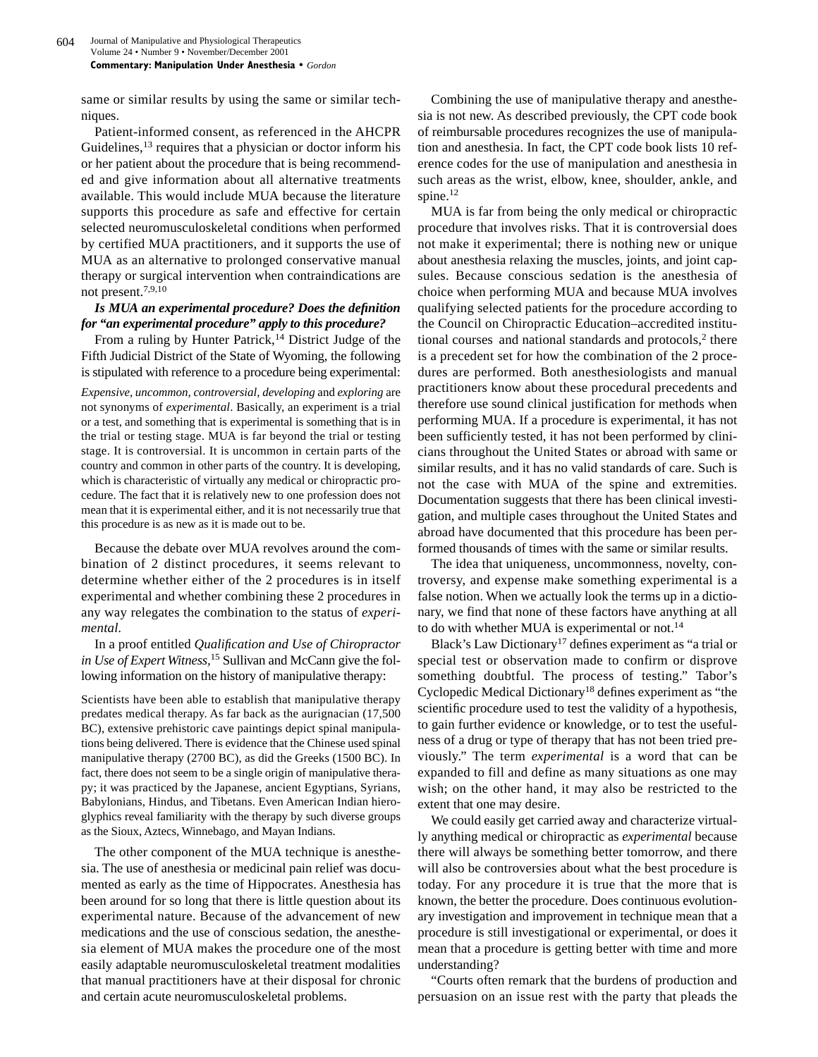same or similar results by using the same or similar techniques.

Patient-informed consent, as referenced in the AHCPR Guidelines,<sup>13</sup> requires that a physician or doctor inform his or her patient about the procedure that is being recommended and give information about all alternative treatments available. This would include MUA because the literature supports this procedure as safe and effective for certain selected neuromusculoskeletal conditions when performed by certified MUA practitioners, and it supports the use of MUA as an alternative to prolonged conservative manual therapy or surgical intervention when contraindications are not present.7,9,10

### *Is MUA an experimental procedure? Does the definition for "an experimental procedure" apply to this procedure?*

From a ruling by Hunter Patrick,<sup>14</sup> District Judge of the Fifth Judicial District of the State of Wyoming, the following is stipulated with reference to a procedure being experimental:

*Expensive, uncommon, controversial, developing* and *exploring* are not synonyms of *experimental*. Basically, an experiment is a trial or a test, and something that is experimental is something that is in the trial or testing stage. MUA is far beyond the trial or testing stage. It is controversial. It is uncommon in certain parts of the country and common in other parts of the country. It is developing, which is characteristic of virtually any medical or chiropractic procedure. The fact that it is relatively new to one profession does not mean that it is experimental either, and it is not necessarily true that this procedure is as new as it is made out to be.

Because the debate over MUA revolves around the combination of 2 distinct procedures, it seems relevant to determine whether either of the 2 procedures is in itself experimental and whether combining these 2 procedures in any way relegates the combination to the status of *experimental.* 

In a proof entitled *Qualification and Use of Chiropractor in Use of Expert Witness,*<sup>15</sup> Sullivan and McCann give the following information on the history of manipulative therapy:

Scientists have been able to establish that manipulative therapy predates medical therapy. As far back as the aurignacian (17,500 BC), extensive prehistoric cave paintings depict spinal manipulations being delivered. There is evidence that the Chinese used spinal manipulative therapy (2700 BC), as did the Greeks (1500 BC). In fact, there does not seem to be a single origin of manipulative therapy; it was practiced by the Japanese, ancient Egyptians, Syrians, Babylonians, Hindus, and Tibetans. Even American Indian hieroglyphics reveal familiarity with the therapy by such diverse groups as the Sioux, Aztecs, Winnebago, and Mayan Indians.

The other component of the MUA technique is anesthesia. The use of anesthesia or medicinal pain relief was documented as early as the time of Hippocrates. Anesthesia has been around for so long that there is little question about its experimental nature. Because of the advancement of new medications and the use of conscious sedation, the anesthesia element of MUA makes the procedure one of the most easily adaptable neuromusculoskeletal treatment modalities that manual practitioners have at their disposal for chronic and certain acute neuromusculoskeletal problems.

Combining the use of manipulative therapy and anesthesia is not new. As described previously, the CPT code book of reimbursable procedures recognizes the use of manipulation and anesthesia. In fact, the CPT code book lists 10 reference codes for the use of manipulation and anesthesia in such areas as the wrist, elbow, knee, shoulder, ankle, and spine. $12$ 

MUA is far from being the only medical or chiropractic procedure that involves risks. That it is controversial does not make it experimental; there is nothing new or unique about anesthesia relaxing the muscles, joints, and joint capsules. Because conscious sedation is the anesthesia of choice when performing MUA and because MUA involves qualifying selected patients for the procedure according to the Council on Chiropractic Education–accredited institutional courses and national standards and protocols, $2$  there is a precedent set for how the combination of the 2 procedures are performed. Both anesthesiologists and manual practitioners know about these procedural precedents and therefore use sound clinical justification for methods when performing MUA. If a procedure is experimental, it has not been sufficiently tested, it has not been performed by clinicians throughout the United States or abroad with same or similar results, and it has no valid standards of care. Such is not the case with MUA of the spine and extremities. Documentation suggests that there has been clinical investigation, and multiple cases throughout the United States and abroad have documented that this procedure has been performed thousands of times with the same or similar results.

The idea that uniqueness, uncommonness, novelty, controversy, and expense make something experimental is a false notion. When we actually look the terms up in a dictionary, we find that none of these factors have anything at all to do with whether MUA is experimental or not.<sup>14</sup>

Black's Law Dictionary<sup>17</sup> defines experiment as "a trial or special test or observation made to confirm or disprove something doubtful. The process of testing." Tabor's Cyclopedic Medical Dictionary18 defines experiment as "the scientific procedure used to test the validity of a hypothesis, to gain further evidence or knowledge, or to test the usefulness of a drug or type of therapy that has not been tried previously." The term *experimental* is a word that can be expanded to fill and define as many situations as one may wish; on the other hand, it may also be restricted to the extent that one may desire.

We could easily get carried away and characterize virtually anything medical or chiropractic as *experimental* because there will always be something better tomorrow, and there will also be controversies about what the best procedure is today. For any procedure it is true that the more that is known, the better the procedure. Does continuous evolutionary investigation and improvement in technique mean that a procedure is still investigational or experimental, or does it mean that a procedure is getting better with time and more understanding?

"Courts often remark that the burdens of production and persuasion on an issue rest with the party that pleads the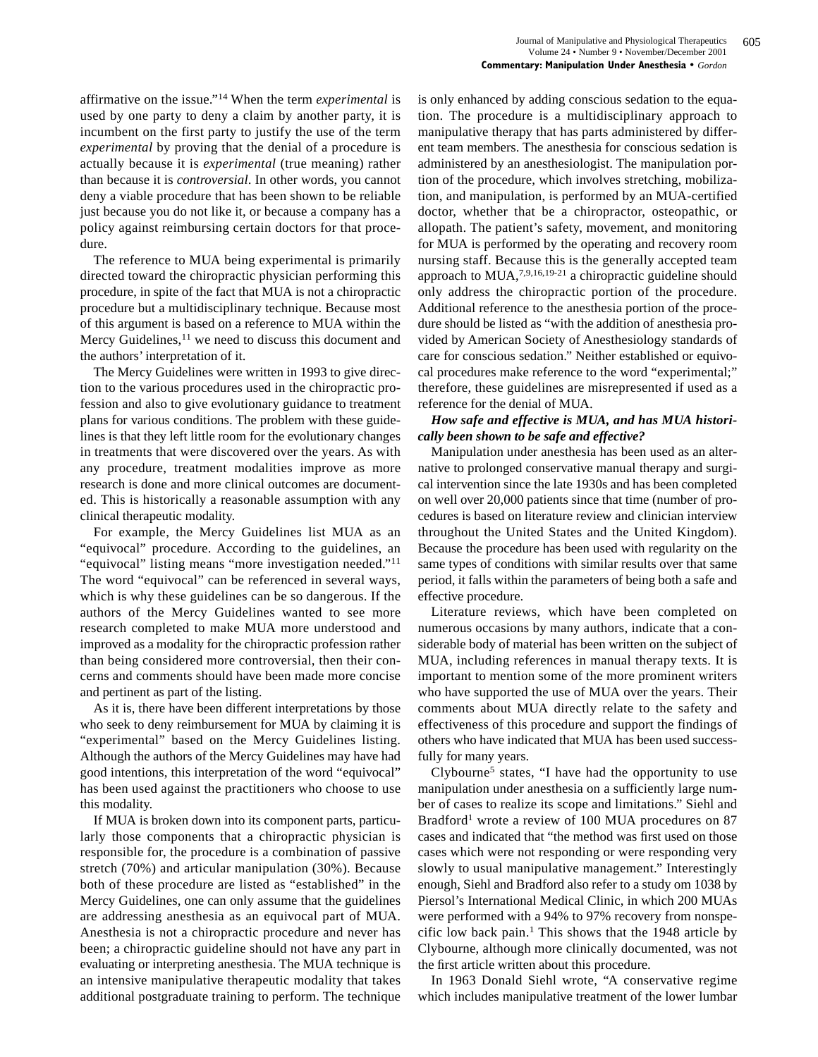affirmative on the issue."14 When the term *experimental* is used by one party to deny a claim by another party, it is incumbent on the first party to justify the use of the term *experimental* by proving that the denial of a procedure is actually because it is *experimental* (true meaning) rather than because it is *controversial*. In other words, you cannot deny a viable procedure that has been shown to be reliable just because you do not like it, or because a company has a policy against reimbursing certain doctors for that procedure.

The reference to MUA being experimental is primarily directed toward the chiropractic physician performing this procedure, in spite of the fact that MUA is not a chiropractic procedure but a multidisciplinary technique. Because most of this argument is based on a reference to MUA within the Mercy Guidelines,<sup>11</sup> we need to discuss this document and the authors' interpretation of it.

The Mercy Guidelines were written in 1993 to give direction to the various procedures used in the chiropractic profession and also to give evolutionary guidance to treatment plans for various conditions. The problem with these guidelines is that they left little room for the evolutionary changes in treatments that were discovered over the years. As with any procedure, treatment modalities improve as more research is done and more clinical outcomes are documented. This is historically a reasonable assumption with any clinical therapeutic modality.

For example, the Mercy Guidelines list MUA as an "equivocal" procedure. According to the guidelines, an "equivocal" listing means "more investigation needed."11 The word "equivocal" can be referenced in several ways, which is why these guidelines can be so dangerous. If the authors of the Mercy Guidelines wanted to see more research completed to make MUA more understood and improved as a modality for the chiropractic profession rather than being considered more controversial, then their concerns and comments should have been made more concise and pertinent as part of the listing.

As it is, there have been different interpretations by those who seek to deny reimbursement for MUA by claiming it is "experimental" based on the Mercy Guidelines listing. Although the authors of the Mercy Guidelines may have had good intentions, this interpretation of the word "equivocal" has been used against the practitioners who choose to use this modality.

If MUA is broken down into its component parts, particularly those components that a chiropractic physician is responsible for, the procedure is a combination of passive stretch (70%) and articular manipulation (30%). Because both of these procedure are listed as "established" in the Mercy Guidelines, one can only assume that the guidelines are addressing anesthesia as an equivocal part of MUA. Anesthesia is not a chiropractic procedure and never has been; a chiropractic guideline should not have any part in evaluating or interpreting anesthesia. The MUA technique is an intensive manipulative therapeutic modality that takes additional postgraduate training to perform. The technique is only enhanced by adding conscious sedation to the equation. The procedure is a multidisciplinary approach to manipulative therapy that has parts administered by different team members. The anesthesia for conscious sedation is administered by an anesthesiologist. The manipulation portion of the procedure, which involves stretching, mobilization, and manipulation, is performed by an MUA-certified doctor, whether that be a chiropractor, osteopathic, or allopath. The patient's safety, movement, and monitoring for MUA is performed by the operating and recovery room nursing staff. Because this is the generally accepted team approach to  $MUA$ ,<sup>7,9,16,19-21</sup> a chiropractic guideline should only address the chiropractic portion of the procedure. Additional reference to the anesthesia portion of the procedure should be listed as "with the addition of anesthesia provided by American Society of Anesthesiology standards of care for conscious sedation." Neither established or equivocal procedures make reference to the word "experimental;" therefore, these guidelines are misrepresented if used as a reference for the denial of MUA.

# *How safe and effective is MUA, and has MUA historically been shown to be safe and effective?*

Manipulation under anesthesia has been used as an alternative to prolonged conservative manual therapy and surgical intervention since the late 1930s and has been completed on well over 20,000 patients since that time (number of procedures is based on literature review and clinician interview throughout the United States and the United Kingdom). Because the procedure has been used with regularity on the same types of conditions with similar results over that same period, it falls within the parameters of being both a safe and effective procedure.

Literature reviews, which have been completed on numerous occasions by many authors, indicate that a considerable body of material has been written on the subject of MUA, including references in manual therapy texts. It is important to mention some of the more prominent writers who have supported the use of MUA over the years. Their comments about MUA directly relate to the safety and effectiveness of this procedure and support the findings of others who have indicated that MUA has been used successfully for many years.

Clybourne<sup>5</sup> states, "I have had the opportunity to use manipulation under anesthesia on a sufficiently large number of cases to realize its scope and limitations." Siehl and Bradford<sup>1</sup> wrote a review of 100 MUA procedures on 87 cases and indicated that "the method was first used on those cases which were not responding or were responding very slowly to usual manipulative management." Interestingly enough, Siehl and Bradford also refer to a study om 1038 by Piersol's International Medical Clinic, in which 200 MUAs were performed with a 94% to 97% recovery from nonspecific low back pain.<sup>1</sup> This shows that the 1948 article by Clybourne, although more clinically documented, was not the first article written about this procedure.

In 1963 Donald Siehl wrote, "A conservative regime which includes manipulative treatment of the lower lumbar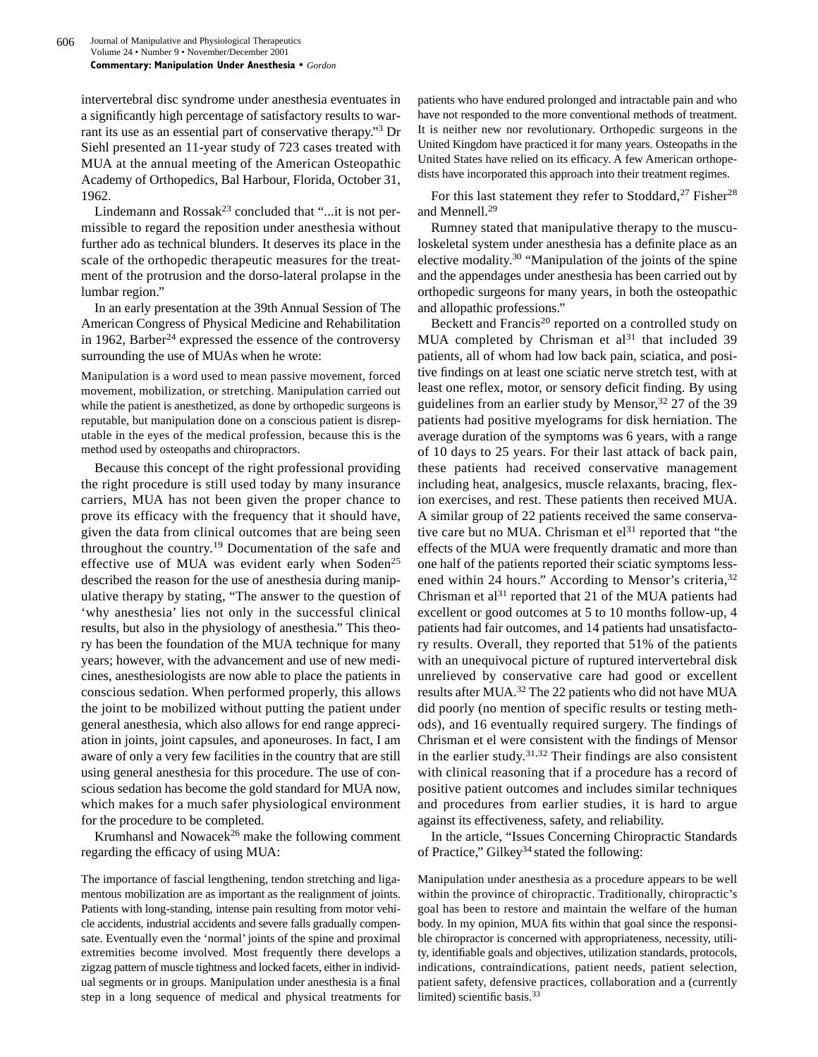intervertebral disc syndrome under anesthesia eventuates in a significantly high percentage of satisfactory results to warrant its use as an essential part of conservative therapy."3 Dr Siehl presented an 11-year study of 723 cases treated with MUA at the annual meeting of the American Osteopathic Academy of Orthopedics, Bal Harbour, Florida, October 31, 1962.

Lindemann and  $Rossak^{23}$  concluded that "...it is not permissible to regard the reposition under anesthesia without further ado as technical blunders. It deserves its place in the scale of the orthopedic therapeutic measures for the treatment of the protrusion and the dorso-lateral prolapse in the lumbar region."

In an early presentation at the 39th Annual Session of The American Congress of Physical Medicine and Rehabilitation in 1962, Barber<sup>24</sup> expressed the essence of the controversy surrounding the use of MUAs when he wrote:

Manipulation is a word used to mean passive movement, forced movement, mobilization, or stretching. Manipulation carried out while the patient is anesthetized, as done by orthopedic surgeons is reputable, but manipulation done on a conscious patient is disreputable in the eyes of the medical profession, because this is the method used by osteopaths and chiropractors.

Because this concept of the right professional providing the right procedure is still used today by many insurance carriers, MUA has not been given the proper chance to prove its efficacy with the frequency that it should have, given the data from clinical outcomes that are being seen throughout the country.<sup>19</sup> Documentation of the safe and effective use of MUA was evident early when Soden<sup>25</sup> described the reason for the use of anesthesia during manipulative therapy by stating, "The answer to the question of 'why anesthesia' lies not only in the successful clinical results, but also in the physiology of anesthesia." This theory has been the foundation of the MUA technique for many years; however, with the advancement and use of new medicines, anesthesiologists are now able to place the patients in conscious sedation. When performed properly, this allows the joint to be mobilized without putting the patient under general anesthesia, which also allows for end range appreciation in joints, joint capsules, and aponeuroses. In fact, I am aware of only a very few facilities in the country that are still using general anesthesia for this procedure. The use of conscious sedation has become the gold standard for MUA now, which makes for a much safer physiological environment for the procedure to be completed.

Krumhansl and Nowace $k^{26}$  make the following comment regarding the efficacy of using MUA:

The importance of fascial lengthening, tendon stretching and ligamentous mobilization are as important as the realignment of joints. Patients with long-standing, intense pain resulting from motor vehicle accidents, industrial accidents and severe falls gradually compensate. Eventually even the 'normal' joints of the spine and proximal extremities become involved. Most frequently there develops a zigzag pattern of muscle tightness and locked facets, either in individual segments or in groups. Manipulation under anesthesia is a final step in a long sequence of medical and physical treatments for patients who have endured prolonged and intractable pain and who have not responded to the more conventional methods of treatment. It is neither new nor revolutionary. Orthopedic surgeons in the United Kingdom have practiced it for many years. Osteopaths in the United States have relied on its efficacy. A few American orthopedists have incorporated this approach into their treatment regimes.

For this last statement they refer to Stoddard,<sup>27</sup> Fisher<sup>28</sup> and Mennell.29

Rumney stated that manipulative therapy to the musculoskeletal system under anesthesia has a definite place as an elective modality.30 "Manipulation of the joints of the spine and the appendages under anesthesia has been carried out by orthopedic surgeons for many years, in both the osteopathic and allopathic professions."

Beckett and Francis<sup>20</sup> reported on a controlled study on MUA completed by Chrisman et  $al<sup>31</sup>$  that included 39 patients, all of whom had low back pain, sciatica, and positive findings on at least one sciatic nerve stretch test, with at least one reflex, motor, or sensory deficit finding. By using guidelines from an earlier study by Mensor,  $32$  27 of the 39 patients had positive myelograms for disk herniation. The average duration of the symptoms was 6 years, with a range of 10 days to 25 years. For their last attack of back pain, these patients had received conservative management including heat, analgesics, muscle relaxants, bracing, flexion exercises, and rest. These patients then received MUA. A similar group of 22 patients received the same conservative care but no MUA. Chrisman et  $el^{31}$  reported that "the effects of the MUA were frequently dramatic and more than one half of the patients reported their sciatic symptoms lessened within 24 hours." According to Mensor's criteria,<sup>32</sup> Chrisman et al $31$  reported that 21 of the MUA patients had excellent or good outcomes at 5 to 10 months follow-up, 4 patients had fair outcomes, and 14 patients had unsatisfactory results. Overall, they reported that 51% of the patients with an unequivocal picture of ruptured intervertebral disk unrelieved by conservative care had good or excellent results after MUA.32 The 22 patients who did not have MUA did poorly (no mention of specific results or testing methods), and 16 eventually required surgery. The findings of Chrisman et el were consistent with the findings of Mensor in the earlier study.31,32 Their findings are also consistent with clinical reasoning that if a procedure has a record of positive patient outcomes and includes similar techniques and procedures from earlier studies, it is hard to argue against its effectiveness, safety, and reliability.

In the article, "Issues Concerning Chiropractic Standards of Practice," Gilkey<sup>34</sup> stated the following:

Manipulation under anesthesia as a procedure appears to be well within the province of chiropractic. Traditionally, chiropractic's goal has been to restore and maintain the welfare of the human body. In my opinion, MUA fits within that goal since the responsible chiropractor is concerned with appropriateness, necessity, utility, identifiable goals and objectives, utilization standards, protocols, indications, contraindications, patient needs, patient selection, patient safety, defensive practices, collaboration and a (currently limited) scientific basis.<sup>33</sup>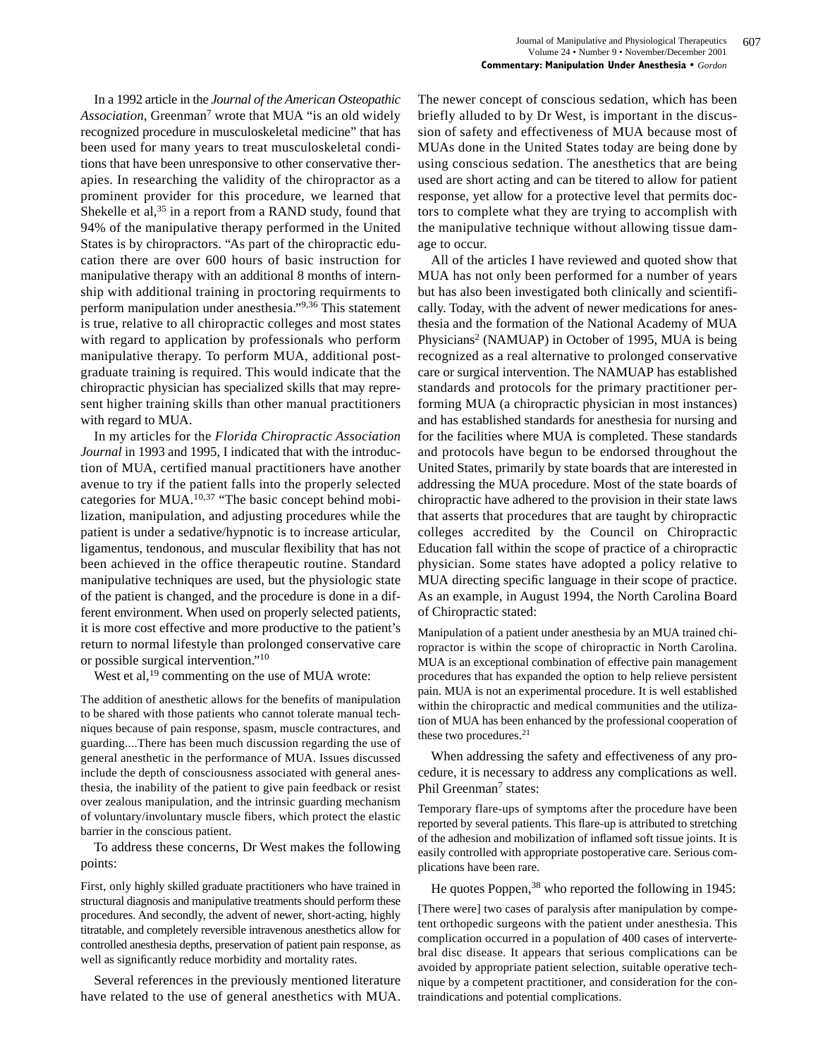In a 1992 article in the *Journal of the American Osteopathic* Association, Greenman<sup>7</sup> wrote that MUA "is an old widely recognized procedure in musculoskeletal medicine" that has been used for many years to treat musculoskeletal conditions that have been unresponsive to other conservative therapies. In researching the validity of the chiropractor as a prominent provider for this procedure, we learned that Shekelle et al,<sup>35</sup> in a report from a RAND study, found that 94% of the manipulative therapy performed in the United States is by chiropractors. "As part of the chiropractic education there are over 600 hours of basic instruction for manipulative therapy with an additional 8 months of internship with additional training in proctoring requirments to perform manipulation under anesthesia."9,36 This statement is true, relative to all chiropractic colleges and most states with regard to application by professionals who perform manipulative therapy. To perform MUA, additional postgraduate training is required. This would indicate that the chiropractic physician has specialized skills that may represent higher training skills than other manual practitioners with regard to MUA.

In my articles for the *Florida Chiropractic Association Journal* in 1993 and 1995, I indicated that with the introduction of MUA, certified manual practitioners have another avenue to try if the patient falls into the properly selected categories for MUA.10,37 "The basic concept behind mobilization, manipulation, and adjusting procedures while the patient is under a sedative/hypnotic is to increase articular, ligamentus, tendonous, and muscular flexibility that has not been achieved in the office therapeutic routine. Standard manipulative techniques are used, but the physiologic state of the patient is changed, and the procedure is done in a different environment. When used on properly selected patients, it is more cost effective and more productive to the patient's return to normal lifestyle than prolonged conservative care or possible surgical intervention."10

West et al,  $^{19}$  commenting on the use of MUA wrote:

The addition of anesthetic allows for the benefits of manipulation to be shared with those patients who cannot tolerate manual techniques because of pain response, spasm, muscle contractures, and guarding....There has been much discussion regarding the use of general anesthetic in the performance of MUA. Issues discussed include the depth of consciousness associated with general anesthesia, the inability of the patient to give pain feedback or resist over zealous manipulation, and the intrinsic guarding mechanism of voluntary/involuntary muscle fibers, which protect the elastic barrier in the conscious patient.

To address these concerns, Dr West makes the following points:

First, only highly skilled graduate practitioners who have trained in structural diagnosis and manipulative treatments should perform these procedures. And secondly, the advent of newer, short-acting, highly titratable, and completely reversible intravenous anesthetics allow for controlled anesthesia depths, preservation of patient pain response, as well as significantly reduce morbidity and mortality rates.

Several references in the previously mentioned literature have related to the use of general anesthetics with MUA.

The newer concept of conscious sedation, which has been briefly alluded to by Dr West, is important in the discussion of safety and effectiveness of MUA because most of MUAs done in the United States today are being done by using conscious sedation. The anesthetics that are being used are short acting and can be titered to allow for patient response, yet allow for a protective level that permits doctors to complete what they are trying to accomplish with the manipulative technique without allowing tissue damage to occur.

All of the articles I have reviewed and quoted show that MUA has not only been performed for a number of years but has also been investigated both clinically and scientifically. Today, with the advent of newer medications for anesthesia and the formation of the National Academy of MUA Physicians<sup>2</sup> (NAMUAP) in October of 1995, MUA is being recognized as a real alternative to prolonged conservative care or surgical intervention. The NAMUAP has established standards and protocols for the primary practitioner performing MUA (a chiropractic physician in most instances) and has established standards for anesthesia for nursing and for the facilities where MUA is completed. These standards and protocols have begun to be endorsed throughout the United States, primarily by state boards that are interested in addressing the MUA procedure. Most of the state boards of chiropractic have adhered to the provision in their state laws that asserts that procedures that are taught by chiropractic colleges accredited by the Council on Chiropractic Education fall within the scope of practice of a chiropractic physician. Some states have adopted a policy relative to MUA directing specific language in their scope of practice. As an example, in August 1994, the North Carolina Board of Chiropractic stated:

Manipulation of a patient under anesthesia by an MUA trained chiropractor is within the scope of chiropractic in North Carolina. MUA is an exceptional combination of effective pain management procedures that has expanded the option to help relieve persistent pain. MUA is not an experimental procedure. It is well established within the chiropractic and medical communities and the utilization of MUA has been enhanced by the professional cooperation of these two procedures.21

When addressing the safety and effectiveness of any procedure, it is necessary to address any complications as well. Phil Greenman<sup>7</sup> states:

Temporary flare-ups of symptoms after the procedure have been reported by several patients. This flare-up is attributed to stretching of the adhesion and mobilization of inflamed soft tissue joints. It is easily controlled with appropriate postoperative care. Serious complications have been rare.

He quotes Poppen,<sup>38</sup> who reported the following in 1945:

[There were] two cases of paralysis after manipulation by competent orthopedic surgeons with the patient under anesthesia. This complication occurred in a population of 400 cases of intervertebral disc disease. It appears that serious complications can be avoided by appropriate patient selection, suitable operative technique by a competent practitioner, and consideration for the contraindications and potential complications.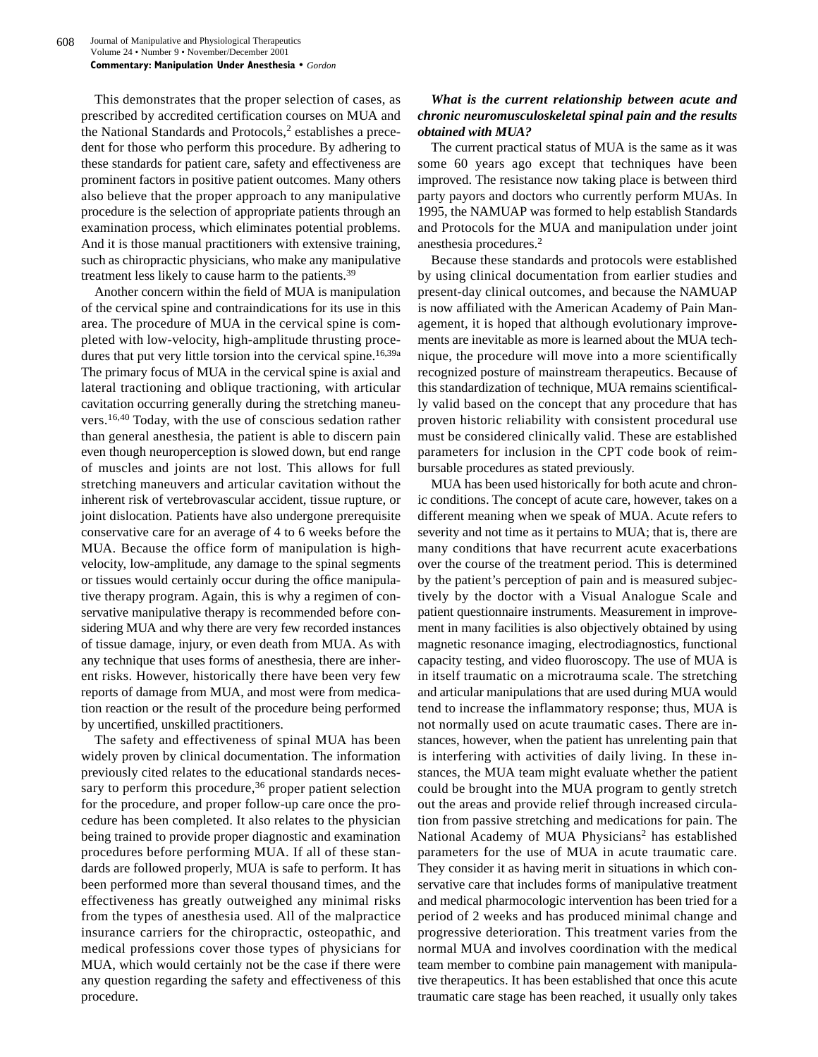This demonstrates that the proper selection of cases, as prescribed by accredited certification courses on MUA and the National Standards and Protocols,<sup>2</sup> establishes a precedent for those who perform this procedure. By adhering to these standards for patient care, safety and effectiveness are prominent factors in positive patient outcomes. Many others also believe that the proper approach to any manipulative procedure is the selection of appropriate patients through an examination process, which eliminates potential problems. And it is those manual practitioners with extensive training, such as chiropractic physicians, who make any manipulative treatment less likely to cause harm to the patients.<sup>39</sup>

Another concern within the field of MUA is manipulation of the cervical spine and contraindications for its use in this area. The procedure of MUA in the cervical spine is completed with low-velocity, high-amplitude thrusting procedures that put very little torsion into the cervical spine.<sup>16,39a</sup> The primary focus of MUA in the cervical spine is axial and lateral tractioning and oblique tractioning, with articular cavitation occurring generally during the stretching maneuvers.16,40 Today, with the use of conscious sedation rather than general anesthesia, the patient is able to discern pain even though neuroperception is slowed down, but end range of muscles and joints are not lost. This allows for full stretching maneuvers and articular cavitation without the inherent risk of vertebrovascular accident, tissue rupture, or joint dislocation. Patients have also undergone prerequisite conservative care for an average of 4 to 6 weeks before the MUA. Because the office form of manipulation is highvelocity, low-amplitude, any damage to the spinal segments or tissues would certainly occur during the office manipulative therapy program. Again, this is why a regimen of conservative manipulative therapy is recommended before considering MUA and why there are very few recorded instances of tissue damage, injury, or even death from MUA. As with any technique that uses forms of anesthesia, there are inherent risks. However, historically there have been very few reports of damage from MUA, and most were from medication reaction or the result of the procedure being performed by uncertified, unskilled practitioners.

The safety and effectiveness of spinal MUA has been widely proven by clinical documentation. The information previously cited relates to the educational standards necessary to perform this procedure,  $36$  proper patient selection for the procedure, and proper follow-up care once the procedure has been completed. It also relates to the physician being trained to provide proper diagnostic and examination procedures before performing MUA. If all of these standards are followed properly, MUA is safe to perform. It has been performed more than several thousand times, and the effectiveness has greatly outweighed any minimal risks from the types of anesthesia used. All of the malpractice insurance carriers for the chiropractic, osteopathic, and medical professions cover those types of physicians for MUA, which would certainly not be the case if there were any question regarding the safety and effectiveness of this procedure.

# *What is the current relationship between acute and chronic neuromusculoskeletal spinal pain and the results obtained with MUA?*

The current practical status of MUA is the same as it was some 60 years ago except that techniques have been improved. The resistance now taking place is between third party payors and doctors who currently perform MUAs. In 1995, the NAMUAP was formed to help establish Standards and Protocols for the MUA and manipulation under joint anesthesia procedures.2

Because these standards and protocols were established by using clinical documentation from earlier studies and present-day clinical outcomes, and because the NAMUAP is now affiliated with the American Academy of Pain Management, it is hoped that although evolutionary improvements are inevitable as more is learned about the MUA technique, the procedure will move into a more scientifically recognized posture of mainstream therapeutics. Because of this standardization of technique, MUA remains scientifically valid based on the concept that any procedure that has proven historic reliability with consistent procedural use must be considered clinically valid. These are established parameters for inclusion in the CPT code book of reimbursable procedures as stated previously.

MUA has been used historically for both acute and chronic conditions. The concept of acute care, however, takes on a different meaning when we speak of MUA. Acute refers to severity and not time as it pertains to MUA; that is, there are many conditions that have recurrent acute exacerbations over the course of the treatment period. This is determined by the patient's perception of pain and is measured subjectively by the doctor with a Visual Analogue Scale and patient questionnaire instruments. Measurement in improvement in many facilities is also objectively obtained by using magnetic resonance imaging, electrodiagnostics, functional capacity testing, and video fluoroscopy. The use of MUA is in itself traumatic on a microtrauma scale. The stretching and articular manipulations that are used during MUA would tend to increase the inflammatory response; thus, MUA is not normally used on acute traumatic cases. There are instances, however, when the patient has unrelenting pain that is interfering with activities of daily living. In these instances, the MUA team might evaluate whether the patient could be brought into the MUA program to gently stretch out the areas and provide relief through increased circulation from passive stretching and medications for pain. The National Academy of MUA Physicians<sup>2</sup> has established parameters for the use of MUA in acute traumatic care. They consider it as having merit in situations in which conservative care that includes forms of manipulative treatment and medical pharmocologic intervention has been tried for a period of 2 weeks and has produced minimal change and progressive deterioration. This treatment varies from the normal MUA and involves coordination with the medical team member to combine pain management with manipulative therapeutics. It has been established that once this acute traumatic care stage has been reached, it usually only takes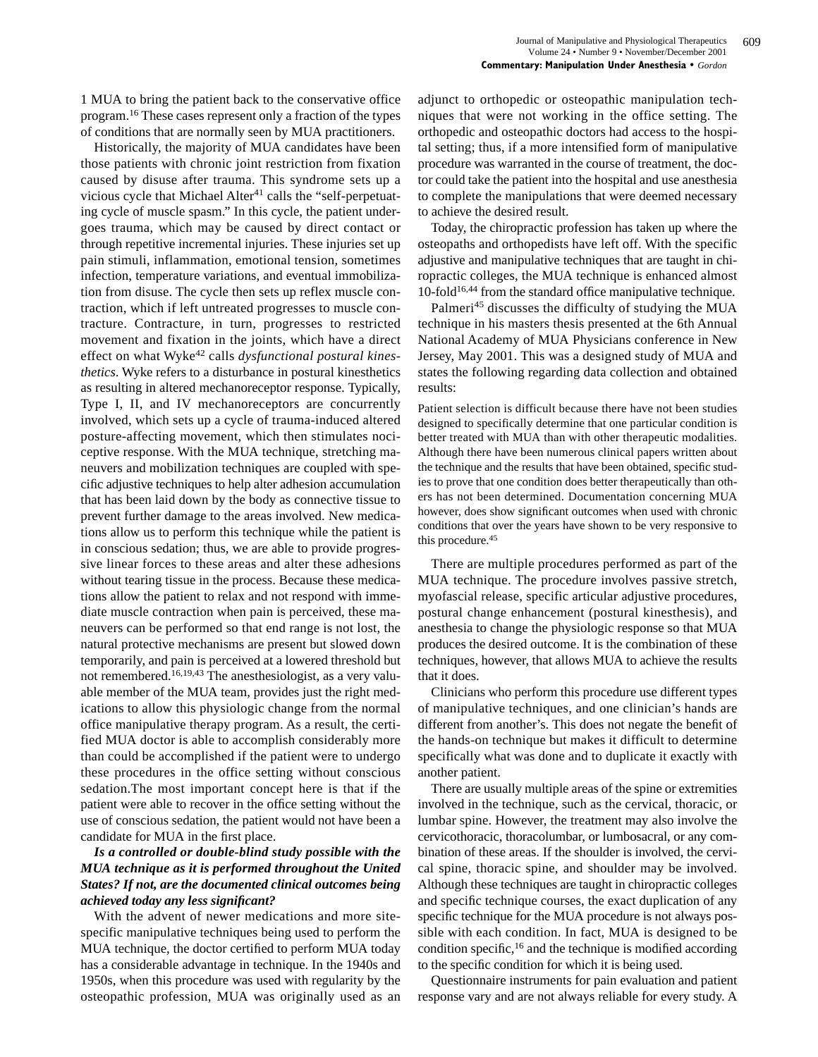1 MUA to bring the patient back to the conservative office program.16 These cases represent only a fraction of the types of conditions that are normally seen by MUA practitioners.

Historically, the majority of MUA candidates have been those patients with chronic joint restriction from fixation caused by disuse after trauma. This syndrome sets up a vicious cycle that Michael Alter $41$  calls the "self-perpetuating cycle of muscle spasm." In this cycle, the patient undergoes trauma, which may be caused by direct contact or through repetitive incremental injuries. These injuries set up pain stimuli, inflammation, emotional tension, sometimes infection, temperature variations, and eventual immobilization from disuse. The cycle then sets up reflex muscle contraction, which if left untreated progresses to muscle contracture. Contracture, in turn, progresses to restricted movement and fixation in the joints, which have a direct effect on what Wyke<sup>42</sup> calls *dysfunctional postural kinesthetics*. Wyke refers to a disturbance in postural kinesthetics as resulting in altered mechanoreceptor response. Typically, Type I, II, and IV mechanoreceptors are concurrently involved, which sets up a cycle of trauma-induced altered posture-affecting movement, which then stimulates nociceptive response. With the MUA technique, stretching maneuvers and mobilization techniques are coupled with specific adjustive techniques to help alter adhesion accumulation that has been laid down by the body as connective tissue to prevent further damage to the areas involved. New medications allow us to perform this technique while the patient is in conscious sedation; thus, we are able to provide progressive linear forces to these areas and alter these adhesions without tearing tissue in the process. Because these medications allow the patient to relax and not respond with immediate muscle contraction when pain is perceived, these maneuvers can be performed so that end range is not lost, the natural protective mechanisms are present but slowed down temporarily, and pain is perceived at a lowered threshold but not remembered.<sup>16,19,43</sup> The anesthesiologist, as a very valuable member of the MUA team, provides just the right medications to allow this physiologic change from the normal office manipulative therapy program. As a result, the certified MUA doctor is able to accomplish considerably more than could be accomplished if the patient were to undergo these procedures in the office setting without conscious sedation.The most important concept here is that if the patient were able to recover in the office setting without the use of conscious sedation, the patient would not have been a candidate for MUA in the first place.

# *Is a controlled or double-blind study possible with the MUA technique as it is performed throughout the United States? If not, are the documented clinical outcomes being achieved today any less significant?*

With the advent of newer medications and more sitespecific manipulative techniques being used to perform the MUA technique, the doctor certified to perform MUA today has a considerable advantage in technique. In the 1940s and 1950s, when this procedure was used with regularity by the osteopathic profession, MUA was originally used as an adjunct to orthopedic or osteopathic manipulation techniques that were not working in the office setting. The orthopedic and osteopathic doctors had access to the hospital setting; thus, if a more intensified form of manipulative procedure was warranted in the course of treatment, the doctor could take the patient into the hospital and use anesthesia to complete the manipulations that were deemed necessary to achieve the desired result.

Today, the chiropractic profession has taken up where the osteopaths and orthopedists have left off. With the specific adjustive and manipulative techniques that are taught in chiropractic colleges, the MUA technique is enhanced almost 10-fold<sup>16,44</sup> from the standard office manipulative technique.

Palmeri<sup>45</sup> discusses the difficulty of studying the MUA technique in his masters thesis presented at the 6th Annual National Academy of MUA Physicians conference in New Jersey, May 2001. This was a designed study of MUA and states the following regarding data collection and obtained results:

Patient selection is difficult because there have not been studies designed to specifically determine that one particular condition is better treated with MUA than with other therapeutic modalities. Although there have been numerous clinical papers written about the technique and the results that have been obtained, specific studies to prove that one condition does better therapeutically than others has not been determined. Documentation concerning MUA however, does show significant outcomes when used with chronic conditions that over the years have shown to be very responsive to this procedure.<sup>45</sup>

There are multiple procedures performed as part of the MUA technique. The procedure involves passive stretch, myofascial release, specific articular adjustive procedures, postural change enhancement (postural kinesthesis), and anesthesia to change the physiologic response so that MUA produces the desired outcome. It is the combination of these techniques, however, that allows MUA to achieve the results that it does.

Clinicians who perform this procedure use different types of manipulative techniques, and one clinician's hands are different from another's. This does not negate the benefit of the hands-on technique but makes it difficult to determine specifically what was done and to duplicate it exactly with another patient.

There are usually multiple areas of the spine or extremities involved in the technique, such as the cervical, thoracic, or lumbar spine. However, the treatment may also involve the cervicothoracic, thoracolumbar, or lumbosacral, or any combination of these areas. If the shoulder is involved, the cervical spine, thoracic spine, and shoulder may be involved. Although these techniques are taught in chiropractic colleges and specific technique courses, the exact duplication of any specific technique for the MUA procedure is not always possible with each condition. In fact, MUA is designed to be condition specific, $16$  and the technique is modified according to the specific condition for which it is being used.

Questionnaire instruments for pain evaluation and patient response vary and are not always reliable for every study. A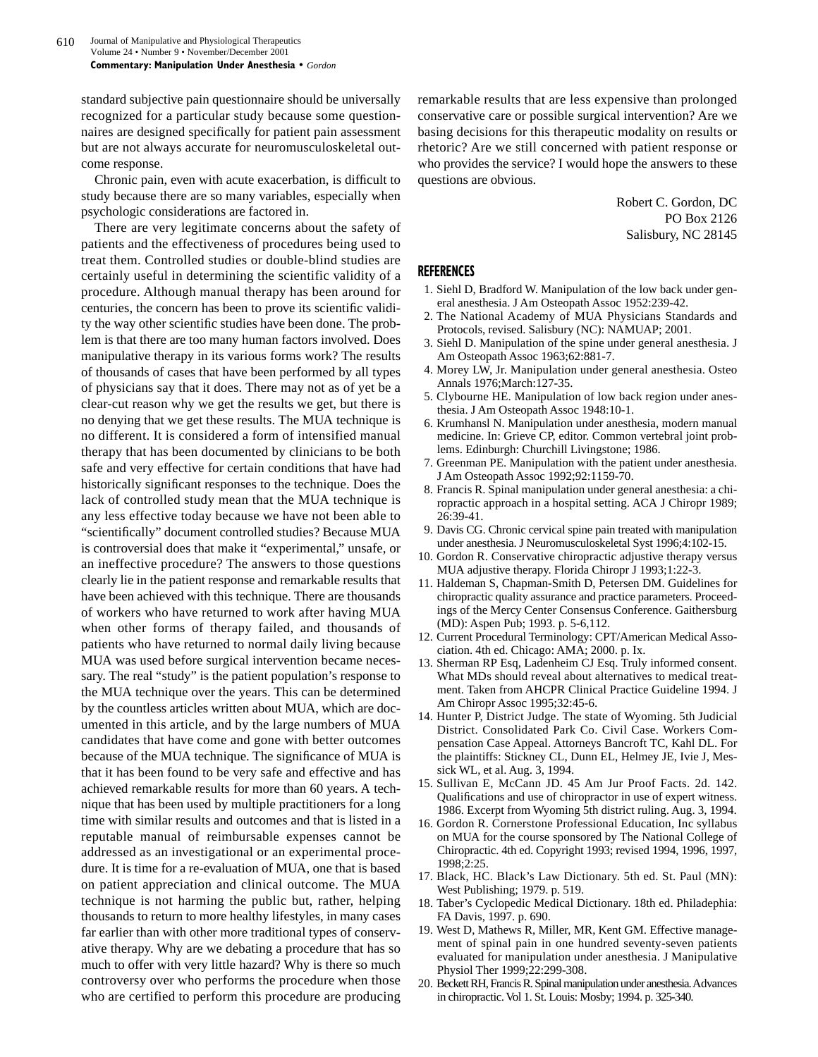standard subjective pain questionnaire should be universally recognized for a particular study because some questionnaires are designed specifically for patient pain assessment but are not always accurate for neuromusculoskeletal outcome response.

Chronic pain, even with acute exacerbation, is difficult to study because there are so many variables, especially when psychologic considerations are factored in.

There are very legitimate concerns about the safety of patients and the effectiveness of procedures being used to treat them. Controlled studies or double-blind studies are certainly useful in determining the scientific validity of a procedure. Although manual therapy has been around for centuries, the concern has been to prove its scientific validity the way other scientific studies have been done. The problem is that there are too many human factors involved. Does manipulative therapy in its various forms work? The results of thousands of cases that have been performed by all types of physicians say that it does. There may not as of yet be a clear-cut reason why we get the results we get, but there is no denying that we get these results. The MUA technique is no different. It is considered a form of intensified manual therapy that has been documented by clinicians to be both safe and very effective for certain conditions that have had historically significant responses to the technique. Does the lack of controlled study mean that the MUA technique is any less effective today because we have not been able to "scientifically" document controlled studies? Because MUA is controversial does that make it "experimental," unsafe, or an ineffective procedure? The answers to those questions clearly lie in the patient response and remarkable results that have been achieved with this technique. There are thousands of workers who have returned to work after having MUA when other forms of therapy failed, and thousands of patients who have returned to normal daily living because MUA was used before surgical intervention became necessary. The real "study" is the patient population's response to the MUA technique over the years. This can be determined by the countless articles written about MUA, which are documented in this article, and by the large numbers of MUA candidates that have come and gone with better outcomes because of the MUA technique. The significance of MUA is that it has been found to be very safe and effective and has achieved remarkable results for more than 60 years. A technique that has been used by multiple practitioners for a long time with similar results and outcomes and that is listed in a reputable manual of reimbursable expenses cannot be addressed as an investigational or an experimental procedure. It is time for a re-evaluation of MUA, one that is based on patient appreciation and clinical outcome. The MUA technique is not harming the public but, rather, helping thousands to return to more healthy lifestyles, in many cases far earlier than with other more traditional types of conservative therapy. Why are we debating a procedure that has so much to offer with very little hazard? Why is there so much controversy over who performs the procedure when those who are certified to perform this procedure are producing

remarkable results that are less expensive than prolonged conservative care or possible surgical intervention? Are we basing decisions for this therapeutic modality on results or rhetoric? Are we still concerned with patient response or who provides the service? I would hope the answers to these questions are obvious.

> Robert C. Gordon, DC PO Box 2126 Salisbury, NC 28145

### **REFERENCES**

- 1. Siehl D, Bradford W. Manipulation of the low back under general anesthesia. J Am Osteopath Assoc 1952:239-42.
- 2. The National Academy of MUA Physicians Standards and Protocols, revised. Salisbury (NC): NAMUAP; 2001.
- 3. Siehl D. Manipulation of the spine under general anesthesia. J Am Osteopath Assoc 1963;62:881-7.
- 4. Morey LW, Jr. Manipulation under general anesthesia. Osteo Annals 1976;March:127-35.
- 5. Clybourne HE. Manipulation of low back region under anesthesia. J Am Osteopath Assoc 1948:10-1.
- 6. Krumhansl N. Manipulation under anesthesia, modern manual medicine. In: Grieve CP, editor. Common vertebral joint problems. Edinburgh: Churchill Livingstone; 1986.
- 7. Greenman PE. Manipulation with the patient under anesthesia. J Am Osteopath Assoc 1992;92:1159-70.
- 8. Francis R. Spinal manipulation under general anesthesia: a chiropractic approach in a hospital setting. ACA J Chiropr 1989; 26:39-41.
- 9. Davis CG. Chronic cervical spine pain treated with manipulation under anesthesia. J Neuromusculoskeletal Syst 1996;4:102-15.
- 10. Gordon R. Conservative chiropractic adjustive therapy versus MUA adjustive therapy. Florida Chiropr J 1993;1:22-3.
- 11. Haldeman S, Chapman-Smith D, Petersen DM. Guidelines for chiropractic quality assurance and practice parameters. Proceedings of the Mercy Center Consensus Conference. Gaithersburg (MD): Aspen Pub; 1993. p. 5-6,112.
- 12. Current Procedural Terminology: CPT/American Medical Association. 4th ed. Chicago: AMA; 2000. p. Ix.
- 13. Sherman RP Esq, Ladenheim CJ Esq. Truly informed consent. What MDs should reveal about alternatives to medical treatment. Taken from AHCPR Clinical Practice Guideline 1994. J Am Chiropr Assoc 1995;32:45-6.
- 14. Hunter P, District Judge. The state of Wyoming. 5th Judicial District. Consolidated Park Co. Civil Case. Workers Compensation Case Appeal. Attorneys Bancroft TC, Kahl DL. For the plaintiffs: Stickney CL, Dunn EL, Helmey JE, Ivie J, Messick WL, et al. Aug. 3, 1994.
- 15. Sullivan E, McCann JD. 45 Am Jur Proof Facts. 2d. 142. Qualifications and use of chiropractor in use of expert witness. 1986. Excerpt from Wyoming 5th district ruling. Aug. 3, 1994.
- 16. Gordon R. Cornerstone Professional Education, Inc syllabus on MUA for the course sponsored by The National College of Chiropractic. 4th ed. Copyright 1993; revised 1994, 1996, 1997, 1998;2:25.
- 17. Black, HC. Black's Law Dictionary. 5th ed. St. Paul (MN): West Publishing; 1979. p. 519.
- 18. Taber's Cyclopedic Medical Dictionary. 18th ed. Philadephia: FA Davis, 1997. p. 690.
- 19. West D, Mathews R, Miller, MR, Kent GM. Effective management of spinal pain in one hundred seventy-seven patients evaluated for manipulation under anesthesia. J Manipulative Physiol Ther 1999;22:299-308.
- 20. Beckett RH, Francis R. Spinal manipulation under anesthesia. Advances in chiropractic. Vol 1. St. Louis: Mosby; 1994. p. 325-340.